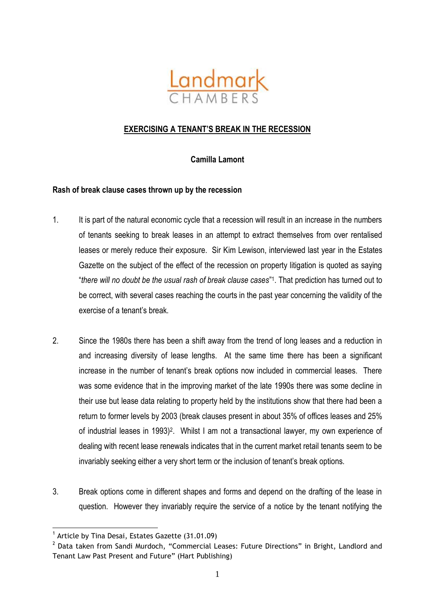

# **EXERCISING A TENANT'S BREAK IN THE RECESSION**

**Camilla Lamont**

# **Rash of break clause cases thrown up by the recession**

- 1. It is part of the natural economic cycle that a recession will result in an increase in the numbers of tenants seeking to break leases in an attempt to extract themselves from over rentalised leases or merely reduce their exposure. Sir Kim Lewison, interviewed last year in the Estates Gazette on the subject of the effect of the recession on property litigation is quoted as saying "*there will no doubt be the usual rash of break clause cases*" 1 . That prediction has turned out to be correct, with several cases reaching the courts in the past year concerning the validity of the exercise of a tenant's break.
- 2. Since the 1980s there has been a shift away from the trend of long leases and a reduction in and increasing diversity of lease lengths. At the same time there has been a significant increase in the number of tenant's break options now included in commercial leases. There was some evidence that in the improving market of the late 1990s there was some decline in their use but lease data relating to property held by the institutions show that there had been a return to former levels by 2003 (break clauses present in about 35% of offices leases and 25% of industrial leases in 1993)<sup>2</sup>. Whilst I am not a transactional lawyer, my own experience of dealing with recent lease renewals indicates that in the current market retail tenants seem to be invariably seeking either a very short term or the inclusion of tenant's break options.
- 3. Break options come in different shapes and forms and depend on the drafting of the lease in question. However they invariably require the service of a notice by the tenant notifying the

<u>.</u>

<sup>&</sup>lt;sup>1</sup> Article by Tina Desai, Estates Gazette (31.01.09)

 $2$  Data taken from Sandi Murdoch, "Commercial Leases: Future Directions" in Bright, Landlord and Tenant Law Past Present and Future" (Hart Publishing)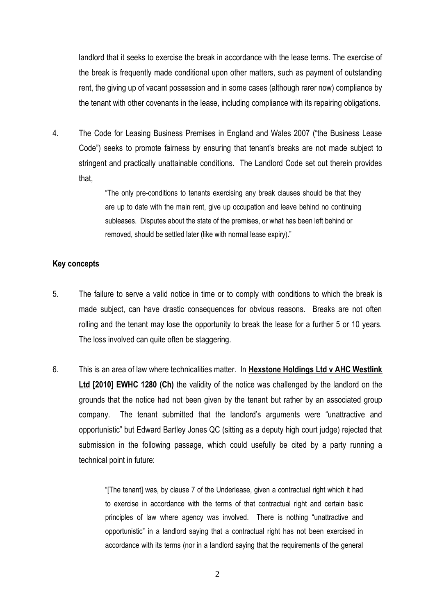landlord that it seeks to exercise the break in accordance with the lease terms. The exercise of the break is frequently made conditional upon other matters, such as payment of outstanding rent, the giving up of vacant possession and in some cases (although rarer now) compliance by the tenant with other covenants in the lease, including compliance with its repairing obligations.

4. The Code for Leasing Business Premises in England and Wales 2007 ("the Business Lease Code") seeks to promote fairness by ensuring that tenant's breaks are not made subject to stringent and practically unattainable conditions. The Landlord Code set out therein provides that,

> "The only pre-conditions to tenants exercising any break clauses should be that they are up to date with the main rent, give up occupation and leave behind no continuing subleases. Disputes about the state of the premises, or what has been left behind or removed, should be settled later (like with normal lease expiry)."

#### **Key concepts**

- 5. The failure to serve a valid notice in time or to comply with conditions to which the break is made subject, can have drastic consequences for obvious reasons. Breaks are not often rolling and the tenant may lose the opportunity to break the lease for a further 5 or 10 years. The loss involved can quite often be staggering.
- 6. This is an area of law where technicalities matter. In **Hexstone Holdings Ltd v AHC Westlink Ltd [2010] EWHC 1280 (Ch)** the validity of the notice was challenged by the landlord on the grounds that the notice had not been given by the tenant but rather by an associated group company. The tenant submitted that the landlord's arguments were "unattractive and opportunistic" but Edward Bartley Jones QC (sitting as a deputy high court judge) rejected that submission in the following passage, which could usefully be cited by a party running a technical point in future:

"[The tenant] was, by clause 7 of the Underlease, given a contractual right which it had to exercise in accordance with the terms of that contractual right and certain basic principles of law where agency was involved. There is nothing "unattractive and opportunistic" in a landlord saying that a contractual right has not been exercised in accordance with its terms (nor in a landlord saying that the requirements of the general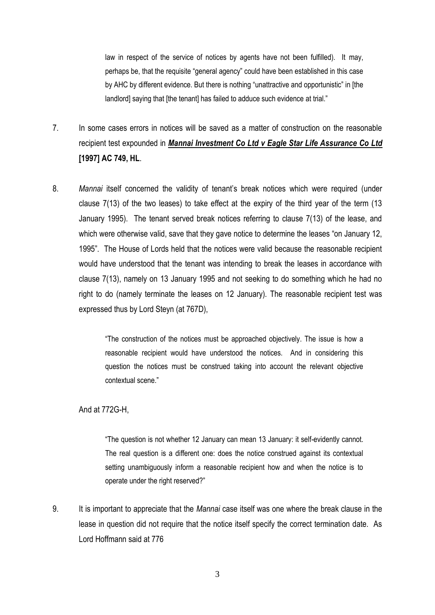law in respect of the service of notices by agents have not been fulfilled). It may, perhaps be, that the requisite "general agency" could have been established in this case by AHC by different evidence. But there is nothing "unattractive and opportunistic" in [the landlord] saying that [the tenant] has failed to adduce such evidence at trial."

- 7. In some cases errors in notices will be saved as a matter of construction on the reasonable recipient test expounded in *Mannai Investment Co Ltd v Eagle Star Life Assurance Co Ltd* **[1997] AC 749, HL**.
- 8. *Mannai* itself concerned the validity of tenant's break notices which were required (under clause 7(13) of the two leases) to take effect at the expiry of the third year of the term (13 January 1995). The tenant served break notices referring to clause 7(13) of the lease, and which were otherwise valid, save that they gave notice to determine the leases "on January 12, 1995". The House of Lords held that the notices were valid because the reasonable recipient would have understood that the tenant was intending to break the leases in accordance with clause 7(13), namely on 13 January 1995 and not seeking to do something which he had no right to do (namely terminate the leases on 12 January). The reasonable recipient test was expressed thus by Lord Steyn (at 767D),

"The construction of the notices must be approached objectively. The issue is how a reasonable recipient would have understood the notices. And in considering this question the notices must be construed taking into account the relevant objective contextual scene."

## And at 772G-H,

"The question is not whether 12 January can mean 13 January: it self-evidently cannot. The real question is a different one: does the notice construed against its contextual setting unambiguously inform a reasonable recipient how and when the notice is to operate under the right reserved?"

9. It is important to appreciate that the *Mannai* case itself was one where the break clause in the lease in question did not require that the notice itself specify the correct termination date. As Lord Hoffmann said at 776

3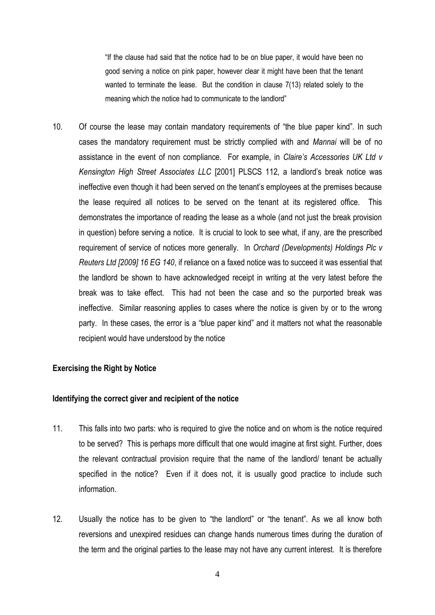"If the clause had said that the notice had to be on blue paper, it would have been no good serving a notice on pink paper, however clear it might have been that the tenant wanted to terminate the lease. But the condition in clause 7(13) related solely to the meaning which the notice had to communicate to the landlord"

10. Of course the lease may contain mandatory requirements of "the blue paper kind". In such cases the mandatory requirement must be strictly complied with and *Mannai* will be of no assistance in the event of non compliance. For example, in *Claire's Accessories UK Ltd v Kensington High Street Associates LLC* [2001] PLSCS 112, a landlord's break notice was ineffective even though it had been served on the tenant's employees at the premises because the lease required all notices to be served on the tenant at its registered office. This demonstrates the importance of reading the lease as a whole (and not just the break provision in question) before serving a notice. It is crucial to look to see what, if any, are the prescribed requirement of service of notices more generally. In *Orchard (Developments) Holdings Plc v Reuters Ltd [2009] 16 EG 140*, if reliance on a faxed notice was to succeed it was essential that the landlord be shown to have acknowledged receipt in writing at the very latest before the break was to take effect. This had not been the case and so the purported break was ineffective. Similar reasoning applies to cases where the notice is given by or to the wrong party. In these cases, the error is a "blue paper kind" and it matters not what the reasonable recipient would have understood by the notice

## **Exercising the Right by Notice**

## **Identifying the correct giver and recipient of the notice**

- 11. This falls into two parts: who is required to give the notice and on whom is the notice required to be served? This is perhaps more difficult that one would imagine at first sight. Further, does the relevant contractual provision require that the name of the landlord/ tenant be actually specified in the notice? Even if it does not, it is usually good practice to include such information.
- 12. Usually the notice has to be given to "the landlord" or "the tenant". As we all know both reversions and unexpired residues can change hands numerous times during the duration of the term and the original parties to the lease may not have any current interest. It is therefore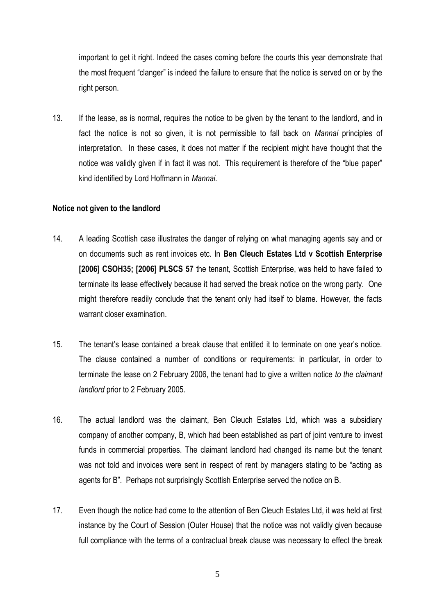important to get it right. Indeed the cases coming before the courts this year demonstrate that the most frequent "clanger" is indeed the failure to ensure that the notice is served on or by the right person.

13. If the lease, as is normal, requires the notice to be given by the tenant to the landlord, and in fact the notice is not so given, it is not permissible to fall back on *Mannai* principles of interpretation. In these cases, it does not matter if the recipient might have thought that the notice was validly given if in fact it was not. This requirement is therefore of the "blue paper" kind identified by Lord Hoffmann in *Mannai*.

#### **Notice not given to the landlord**

- 14. A leading Scottish case illustrates the danger of relying on what managing agents say and or on documents such as rent invoices etc. In **Ben Cleuch Estates Ltd v Scottish Enterprise [2006] CSOH35; [2006] PLSCS 57** the tenant, Scottish Enterprise, was held to have failed to terminate its lease effectively because it had served the break notice on the wrong party. One might therefore readily conclude that the tenant only had itself to blame. However, the facts warrant closer examination.
- 15. The tenant's lease contained a break clause that entitled it to terminate on one year's notice. The clause contained a number of conditions or requirements: in particular, in order to terminate the lease on 2 February 2006, the tenant had to give a written notice *to the claimant landlord* prior to 2 February 2005.
- 16. The actual landlord was the claimant, Ben Cleuch Estates Ltd, which was a subsidiary company of another company, B, which had been established as part of joint venture to invest funds in commercial properties. The claimant landlord had changed its name but the tenant was not told and invoices were sent in respect of rent by managers stating to be "acting as agents for B". Perhaps not surprisingly Scottish Enterprise served the notice on B.
- 17. Even though the notice had come to the attention of Ben Cleuch Estates Ltd, it was held at first instance by the Court of Session (Outer House) that the notice was not validly given because full compliance with the terms of a contractual break clause was necessary to effect the break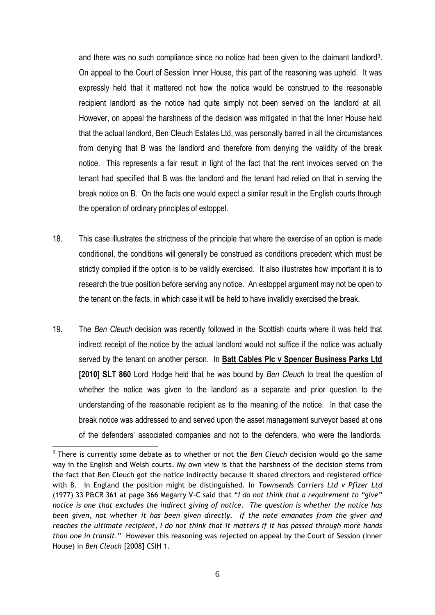and there was no such compliance since no notice had been given to the claimant landlord<sup>3</sup>. On appeal to the Court of Session Inner House, this part of the reasoning was upheld. It was expressly held that it mattered not how the notice would be construed to the reasonable recipient landlord as the notice had quite simply not been served on the landlord at all. However, on appeal the harshness of the decision was mitigated in that the Inner House held that the actual landlord, Ben Cleuch Estates Ltd, was personally barred in all the circumstances from denying that B was the landlord and therefore from denying the validity of the break notice. This represents a fair result in light of the fact that the rent invoices served on the tenant had specified that B was the landlord and the tenant had relied on that in serving the break notice on B. On the facts one would expect a similar result in the English courts through the operation of ordinary principles of estoppel.

- 18. This case illustrates the strictness of the principle that where the exercise of an option is made conditional, the conditions will generally be construed as conditions precedent which must be strictly complied if the option is to be validly exercised. It also illustrates how important it is to research the true position before serving any notice. An estoppel argument may not be open to the tenant on the facts, in which case it will be held to have invalidly exercised the break.
- 19. The *Ben Cleuch* decision was recently followed in the Scottish courts where it was held that indirect receipt of the notice by the actual landlord would not suffice if the notice was actually served by the tenant on another person. In **Batt Cables Plc v Spencer Business Parks Ltd [2010] SLT 860** Lord Hodge held that he was bound by *Ben Cleuch* to treat the question of whether the notice was given to the landlord as a separate and prior question to the understanding of the reasonable recipient as to the meaning of the notice. In that case the break notice was addressed to and served upon the asset management surveyor based at one of the defenders' associated companies and not to the defenders, who were the landlords.

<sup>1</sup> 3 There is currently some debate as to whether or not the *Ben Cleuch* decision would go the same way in the English and Welsh courts. My own view is that the harshness of the decision stems from the fact that Ben Cleuch got the notice indirectly because it shared directors and registered office with B. In England the position might be distinguished. In *Townsends Carriers Ltd v Pfizer Ltd*  (1977) 33 P&CR 361 at page 366 Megarry V-C said that "*I do not think that a requirement to "give" notice is one that excludes the indirect giving of notice. The question is whether the notice has been given, not whether it has been given directly. If the note emanates from the giver and reaches the ultimate recipient, I do not think that it matters if it has passed through more hands than one in transit*." However this reasoning was rejected on appeal by the Court of Session (Inner House) in *Ben Cleuch* [2008] CSIH 1.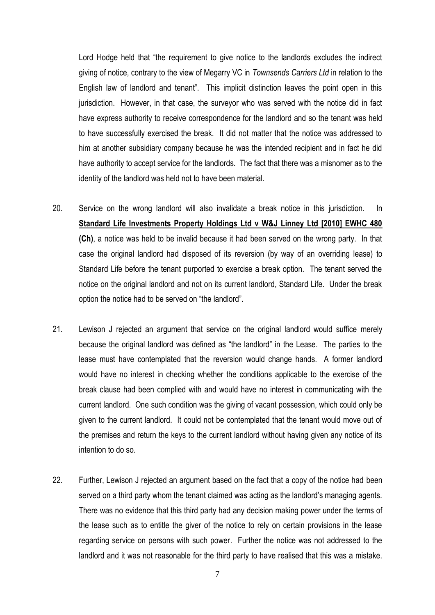Lord Hodge held that "the requirement to give notice to the landlords excludes the indirect giving of notice, contrary to the view of Megarry VC in *Townsends Carriers Ltd* in relation to the English law of landlord and tenant". This implicit distinction leaves the point open in this jurisdiction. However, in that case, the surveyor who was served with the notice did in fact have express authority to receive correspondence for the landlord and so the tenant was held to have successfully exercised the break. It did not matter that the notice was addressed to him at another subsidiary company because he was the intended recipient and in fact he did have authority to accept service for the landlords. The fact that there was a misnomer as to the identity of the landlord was held not to have been material.

- 20. Service on the wrong landlord will also invalidate a break notice in this jurisdiction. In **Standard Life Investments Property Holdings Ltd v W&J Linney Ltd [2010] EWHC 480 (Ch)**, a notice was held to be invalid because it had been served on the wrong party. In that case the original landlord had disposed of its reversion (by way of an overriding lease) to Standard Life before the tenant purported to exercise a break option. The tenant served the notice on the original landlord and not on its current landlord, Standard Life. Under the break option the notice had to be served on "the landlord".
- 21. Lewison J rejected an argument that service on the original landlord would suffice merely because the original landlord was defined as "the landlord" in the Lease. The parties to the lease must have contemplated that the reversion would change hands. A former landlord would have no interest in checking whether the conditions applicable to the exercise of the break clause had been complied with and would have no interest in communicating with the current landlord. One such condition was the giving of vacant possession, which could only be given to the current landlord. It could not be contemplated that the tenant would move out of the premises and return the keys to the current landlord without having given any notice of its intention to do so.
- 22. Further, Lewison J rejected an argument based on the fact that a copy of the notice had been served on a third party whom the tenant claimed was acting as the landlord's managing agents. There was no evidence that this third party had any decision making power under the terms of the lease such as to entitle the giver of the notice to rely on certain provisions in the lease regarding service on persons with such power. Further the notice was not addressed to the landlord and it was not reasonable for the third party to have realised that this was a mistake.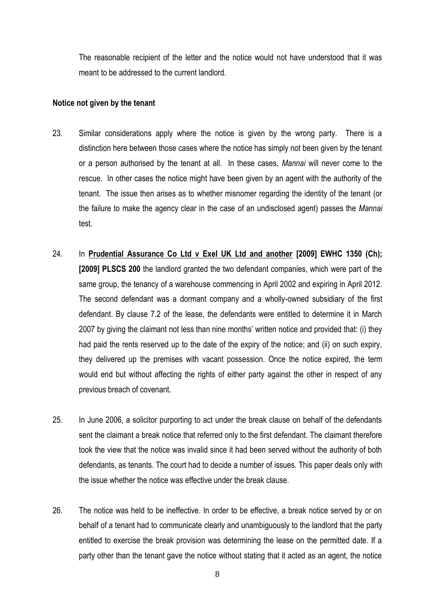The reasonable recipient of the letter and the notice would not have understood that it was meant to be addressed to the current landlord.

#### **Notice not given by the tenant**

- 23. Similar considerations apply where the notice is given by the wrong party. There is a distinction here between those cases where the notice has simply not been given by the tenant or a person authorised by the tenant at all. In these cases, *Mannai* will never come to the rescue. In other cases the notice might have been given by an agent with the authority of the tenant. The issue then arises as to whether misnomer regarding the identity of the tenant (or the failure to make the agency clear in the case of an undisclosed agent) passes the *Mannai* test.
- 24. In **Prudential Assurance Co Ltd v Exel UK Ltd and another [2009] EWHC 1350 (Ch); [2009] PLSCS 200** the landlord granted the two defendant companies, which were part of the same group, the tenancy of a warehouse commencing in April 2002 and expiring in April 2012. The second defendant was a dormant company and a wholly-owned subsidiary of the first defendant. By clause 7.2 of the lease, the defendants were entitled to determine it in March 2007 by giving the claimant not less than nine months' written notice and provided that: (i) they had paid the rents reserved up to the date of the expiry of the notice; and (ii) on such expiry, they delivered up the premises with vacant possession. Once the notice expired, the term would end but without affecting the rights of either party against the other in respect of any previous breach of covenant.
- 25. In June 2006, a solicitor purporting to act under the break clause on behalf of the defendants sent the claimant a break notice that referred only to the first defendant. The claimant therefore took the view that the notice was invalid since it had been served without the authority of both defendants, as tenants. The court had to decide a number of issues. This paper deals only with the issue whether the notice was effective under the break clause.
- 26. The notice was held to be ineffective. In order to be effective, a break notice served by or on behalf of a tenant had to communicate clearly and unambiguously to the landlord that the party entitled to exercise the break provision was determining the lease on the permitted date. If a party other than the tenant gave the notice without stating that it acted as an agent, the notice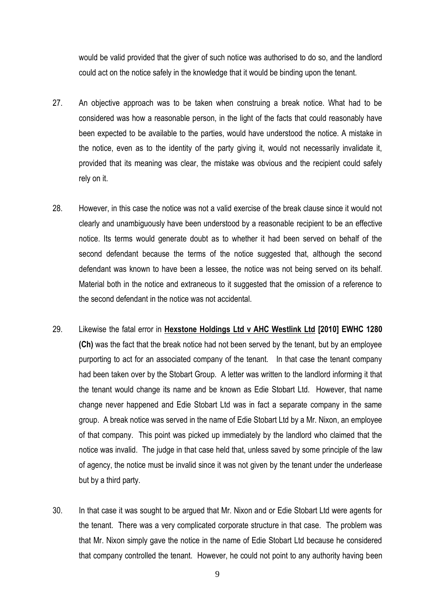would be valid provided that the giver of such notice was authorised to do so, and the landlord could act on the notice safely in the knowledge that it would be binding upon the tenant.

- 27. An objective approach was to be taken when construing a break notice. What had to be considered was how a reasonable person, in the light of the facts that could reasonably have been expected to be available to the parties, would have understood the notice. A mistake in the notice, even as to the identity of the party giving it, would not necessarily invalidate it, provided that its meaning was clear, the mistake was obvious and the recipient could safely rely on it.
- 28. However, in this case the notice was not a valid exercise of the break clause since it would not clearly and unambiguously have been understood by a reasonable recipient to be an effective notice. Its terms would generate doubt as to whether it had been served on behalf of the second defendant because the terms of the notice suggested that, although the second defendant was known to have been a lessee, the notice was not being served on its behalf. Material both in the notice and extraneous to it suggested that the omission of a reference to the second defendant in the notice was not accidental.
- 29. Likewise the fatal error in **Hexstone Holdings Ltd v AHC Westlink Ltd [2010] EWHC 1280 (Ch)** was the fact that the break notice had not been served by the tenant, but by an employee purporting to act for an associated company of the tenant. In that case the tenant company had been taken over by the Stobart Group. A letter was written to the landlord informing it that the tenant would change its name and be known as Edie Stobart Ltd. However, that name change never happened and Edie Stobart Ltd was in fact a separate company in the same group. A break notice was served in the name of Edie Stobart Ltd by a Mr. Nixon, an employee of that company. This point was picked up immediately by the landlord who claimed that the notice was invalid. The judge in that case held that, unless saved by some principle of the law of agency, the notice must be invalid since it was not given by the tenant under the underlease but by a third party.
- 30. In that case it was sought to be argued that Mr. Nixon and or Edie Stobart Ltd were agents for the tenant. There was a very complicated corporate structure in that case. The problem was that Mr. Nixon simply gave the notice in the name of Edie Stobart Ltd because he considered that company controlled the tenant. However, he could not point to any authority having been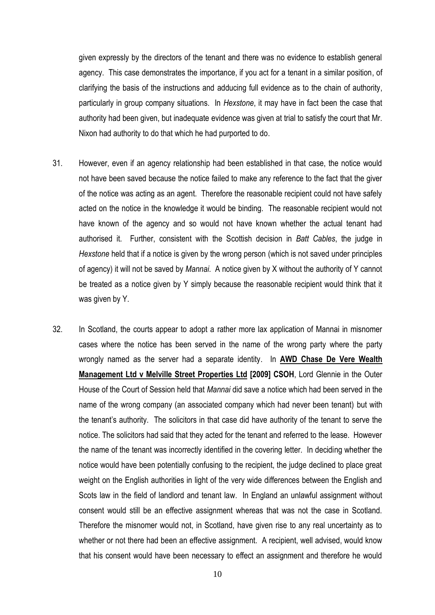given expressly by the directors of the tenant and there was no evidence to establish general agency. This case demonstrates the importance, if you act for a tenant in a similar position, of clarifying the basis of the instructions and adducing full evidence as to the chain of authority, particularly in group company situations. In *Hexstone*, it may have in fact been the case that authority had been given, but inadequate evidence was given at trial to satisfy the court that Mr. Nixon had authority to do that which he had purported to do.

- 31. However, even if an agency relationship had been established in that case, the notice would not have been saved because the notice failed to make any reference to the fact that the giver of the notice was acting as an agent. Therefore the reasonable recipient could not have safely acted on the notice in the knowledge it would be binding. The reasonable recipient would not have known of the agency and so would not have known whether the actual tenant had authorised it. Further, consistent with the Scottish decision in *Batt Cables*, the judge in *Hexstone* held that if a notice is given by the wrong person (which is not saved under principles of agency) it will not be saved by *Mannai*. A notice given by X without the authority of Y cannot be treated as a notice given by Y simply because the reasonable recipient would think that it was given by Y.
- 32. In Scotland, the courts appear to adopt a rather more lax application of Mannai in misnomer cases where the notice has been served in the name of the wrong party where the party wrongly named as the server had a separate identity. In **AWD Chase De Vere Wealth Management Ltd v Melville Street Properties Ltd [2009] CSOH**, Lord Glennie in the Outer House of the Court of Session held that *Mannai* did save a notice which had been served in the name of the wrong company (an associated company which had never been tenant) but with the tenant's authority. The solicitors in that case did have authority of the tenant to serve the notice. The solicitors had said that they acted for the tenant and referred to the lease. However the name of the tenant was incorrectly identified in the covering letter. In deciding whether the notice would have been potentially confusing to the recipient, the judge declined to place great weight on the English authorities in light of the very wide differences between the English and Scots law in the field of landlord and tenant law. In England an unlawful assignment without consent would still be an effective assignment whereas that was not the case in Scotland. Therefore the misnomer would not, in Scotland, have given rise to any real uncertainty as to whether or not there had been an effective assignment. A recipient, well advised, would know that his consent would have been necessary to effect an assignment and therefore he would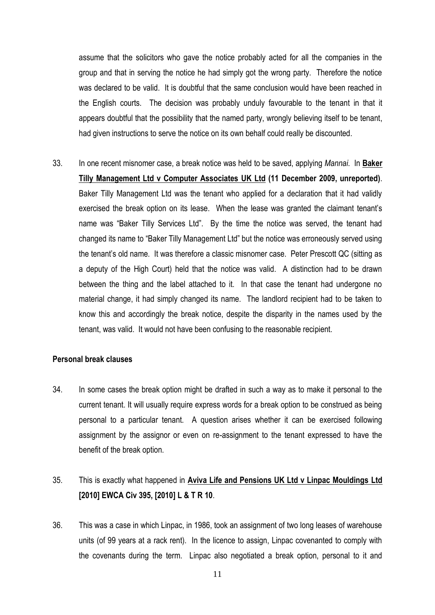assume that the solicitors who gave the notice probably acted for all the companies in the group and that in serving the notice he had simply got the wrong party. Therefore the notice was declared to be valid. It is doubtful that the same conclusion would have been reached in the English courts. The decision was probably unduly favourable to the tenant in that it appears doubtful that the possibility that the named party, wrongly believing itself to be tenant, had given instructions to serve the notice on its own behalf could really be discounted.

33. In one recent misnomer case, a break notice was held to be saved, applying *Mannai*. In **Baker Tilly Management Ltd v Computer Associates UK Ltd (11 December 2009, unreported)**. Baker Tilly Management Ltd was the tenant who applied for a declaration that it had validly exercised the break option on its lease. When the lease was granted the claimant tenant's name was "Baker Tilly Services Ltd". By the time the notice was served, the tenant had changed its name to "Baker Tilly Management Ltd" but the notice was erroneously served using the tenant's old name. It was therefore a classic misnomer case. Peter Prescott QC (sitting as a deputy of the High Court) held that the notice was valid. A distinction had to be drawn between the thing and the label attached to it. In that case the tenant had undergone no material change, it had simply changed its name. The landlord recipient had to be taken to know this and accordingly the break notice, despite the disparity in the names used by the tenant, was valid. It would not have been confusing to the reasonable recipient.

#### **Personal break clauses**

34. In some cases the break option might be drafted in such a way as to make it personal to the current tenant. It will usually require express words for a break option to be construed as being personal to a particular tenant. A question arises whether it can be exercised following assignment by the assignor or even on re-assignment to the tenant expressed to have the benefit of the break option.

# 35. This is exactly what happened in **Aviva Life and Pensions UK Ltd v Linpac Mouldings Ltd [2010] EWCA Civ 395, [2010] L & T R 10**.

36. This was a case in which Linpac, in 1986, took an assignment of two long leases of warehouse units (of 99 years at a rack rent). In the licence to assign, Linpac covenanted to comply with the covenants during the term. Linpac also negotiated a break option, personal to it and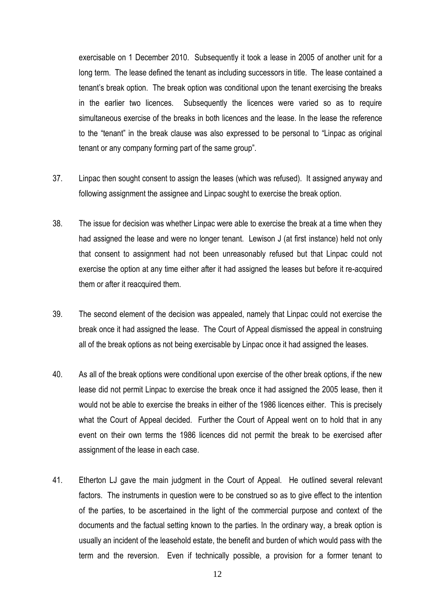exercisable on 1 December 2010. Subsequently it took a lease in 2005 of another unit for a long term. The lease defined the tenant as including successors in title. The lease contained a tenant's break option. The break option was conditional upon the tenant exercising the breaks in the earlier two licences. Subsequently the licences were varied so as to require simultaneous exercise of the breaks in both licences and the lease. In the lease the reference to the "tenant" in the break clause was also expressed to be personal to "Linpac as original tenant or any company forming part of the same group".

- 37. Linpac then sought consent to assign the leases (which was refused). It assigned anyway and following assignment the assignee and Linpac sought to exercise the break option.
- 38. The issue for decision was whether Linpac were able to exercise the break at a time when they had assigned the lease and were no longer tenant. Lewison J (at first instance) held not only that consent to assignment had not been unreasonably refused but that Linpac could not exercise the option at any time either after it had assigned the leases but before it re-acquired them or after it reacquired them.
- 39. The second element of the decision was appealed, namely that Linpac could not exercise the break once it had assigned the lease. The Court of Appeal dismissed the appeal in construing all of the break options as not being exercisable by Linpac once it had assigned the leases.
- 40. As all of the break options were conditional upon exercise of the other break options, if the new lease did not permit Linpac to exercise the break once it had assigned the 2005 lease, then it would not be able to exercise the breaks in either of the 1986 licences either. This is precisely what the Court of Appeal decided. Further the Court of Appeal went on to hold that in any event on their own terms the 1986 licences did not permit the break to be exercised after assignment of the lease in each case.
- 41. Etherton LJ gave the main judgment in the Court of Appeal. He outlined several relevant factors. The instruments in question were to be construed so as to give effect to the intention of the parties, to be ascertained in the light of the commercial purpose and context of the documents and the factual setting known to the parties. In the ordinary way, a break option is usually an incident of the leasehold estate, the benefit and burden of which would pass with the term and the reversion. Even if technically possible, a provision for a former tenant to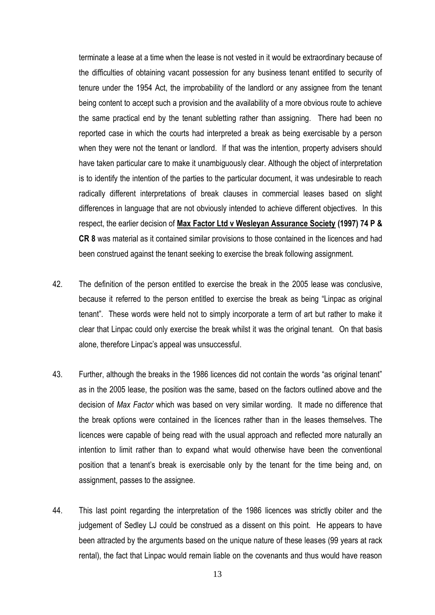terminate a lease at a time when the lease is not vested in it would be extraordinary because of the difficulties of obtaining vacant possession for any business tenant entitled to security of tenure under the 1954 Act, the improbability of the landlord or any assignee from the tenant being content to accept such a provision and the availability of a more obvious route to achieve the same practical end by the tenant subletting rather than assigning. There had been no reported case in which the courts had interpreted a break as being exercisable by a person when they were not the tenant or landlord. If that was the intention, property advisers should have taken particular care to make it unambiguously clear. Although the object of interpretation is to identify the intention of the parties to the particular document, it was undesirable to reach radically different interpretations of break clauses in commercial leases based on slight differences in language that are not obviously intended to achieve different objectives. In this respect, the earlier decision of **Max Factor Ltd v Wesleyan Assurance Society (1997) 74 P & CR 8** was material as it contained similar provisions to those contained in the licences and had been construed against the tenant seeking to exercise the break following assignment.

- 42. The definition of the person entitled to exercise the break in the 2005 lease was conclusive, because it referred to the person entitled to exercise the break as being "Linpac as original tenant". These words were held not to simply incorporate a term of art but rather to make it clear that Linpac could only exercise the break whilst it was the original tenant. On that basis alone, therefore Linpac's appeal was unsuccessful.
- 43. Further, although the breaks in the 1986 licences did not contain the words "as original tenant" as in the 2005 lease, the position was the same, based on the factors outlined above and the decision of *Max Factor* which was based on very similar wording. It made no difference that the break options were contained in the licences rather than in the leases themselves. The licences were capable of being read with the usual approach and reflected more naturally an intention to limit rather than to expand what would otherwise have been the conventional position that a tenant's break is exercisable only by the tenant for the time being and, on assignment, passes to the assignee.
- 44. This last point regarding the interpretation of the 1986 licences was strictly obiter and the judgement of Sedley LJ could be construed as a dissent on this point. He appears to have been attracted by the arguments based on the unique nature of these leases (99 years at rack rental), the fact that Linpac would remain liable on the covenants and thus would have reason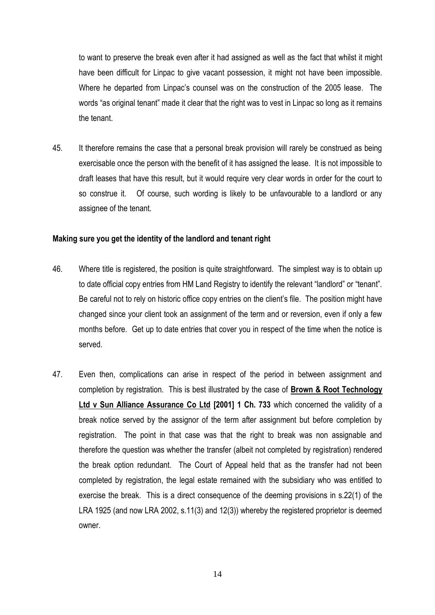to want to preserve the break even after it had assigned as well as the fact that whilst it might have been difficult for Linpac to give vacant possession, it might not have been impossible. Where he departed from Linpac's counsel was on the construction of the 2005 lease. The words "as original tenant" made it clear that the right was to vest in Linpac so long as it remains the tenant.

45. It therefore remains the case that a personal break provision will rarely be construed as being exercisable once the person with the benefit of it has assigned the lease. It is not impossible to draft leases that have this result, but it would require very clear words in order for the court to so construe it. Of course, such wording is likely to be unfavourable to a landlord or any assignee of the tenant.

## **Making sure you get the identity of the landlord and tenant right**

- 46. Where title is registered, the position is quite straightforward. The simplest way is to obtain up to date official copy entries from HM Land Registry to identify the relevant "landlord" or "tenant". Be careful not to rely on historic office copy entries on the client's file. The position might have changed since your client took an assignment of the term and or reversion, even if only a few months before. Get up to date entries that cover you in respect of the time when the notice is served.
- 47. Even then, complications can arise in respect of the period in between assignment and completion by registration. This is best illustrated by the case of **Brown & Root Technology Ltd v Sun Alliance Assurance Co Ltd [2001] 1 Ch. 733** which concerned the validity of a break notice served by the assignor of the term after assignment but before completion by registration. The point in that case was that the right to break was non assignable and therefore the question was whether the transfer (albeit not completed by registration) rendered the break option redundant. The Court of Appeal held that as the transfer had not been completed by registration, the legal estate remained with the subsidiary who was entitled to exercise the break. This is a direct consequence of the deeming provisions in s.22(1) of the LRA 1925 (and now LRA 2002, s.11(3) and 12(3)) whereby the registered proprietor is deemed owner.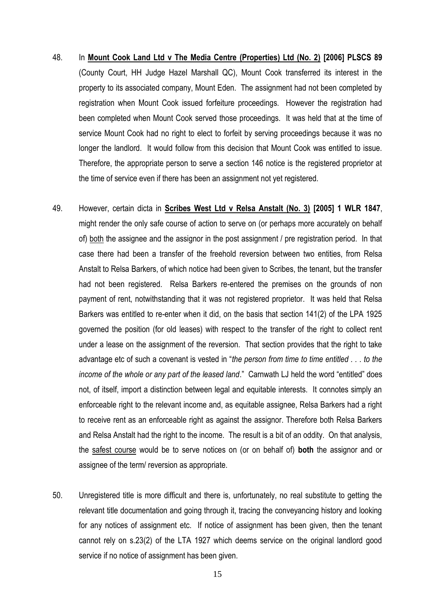- 48. In **Mount Cook Land Ltd v The Media Centre (Properties) Ltd (No. 2) [2006] PLSCS 89**  (County Court, HH Judge Hazel Marshall QC), Mount Cook transferred its interest in the property to its associated company, Mount Eden. The assignment had not been completed by registration when Mount Cook issued forfeiture proceedings. However the registration had been completed when Mount Cook served those proceedings. It was held that at the time of service Mount Cook had no right to elect to forfeit by serving proceedings because it was no longer the landlord. It would follow from this decision that Mount Cook was entitled to issue. Therefore, the appropriate person to serve a section 146 notice is the registered proprietor at the time of service even if there has been an assignment not yet registered.
- 49. However, certain dicta in **Scribes West Ltd v Relsa Anstalt (No. 3) [2005] 1 WLR 1847**, might render the only safe course of action to serve on (or perhaps more accurately on behalf of) both the assignee and the assignor in the post assignment / pre registration period. In that case there had been a transfer of the freehold reversion between two entities, from Relsa Anstalt to Relsa Barkers, of which notice had been given to Scribes, the tenant, but the transfer had not been registered. Relsa Barkers re-entered the premises on the grounds of non payment of rent, notwithstanding that it was not registered proprietor. It was held that Relsa Barkers was entitled to re-enter when it did, on the basis that section 141(2) of the LPA 1925 governed the position (for old leases) with respect to the transfer of the right to collect rent under a lease on the assignment of the reversion. That section provides that the right to take advantage etc of such a covenant is vested in "*the person from time to time entitled . . . to the income of the whole or any part of the leased land*." Carnwath LJ held the word "entitled" does not, of itself, import a distinction between legal and equitable interests. It connotes simply an enforceable right to the relevant income and, as equitable assignee, Relsa Barkers had a right to receive rent as an enforceable right as against the assignor. Therefore both Relsa Barkers and Relsa Anstalt had the right to the income. The result is a bit of an oddity. On that analysis, the safest course would be to serve notices on (or on behalf of) **both** the assignor and or assignee of the term/ reversion as appropriate.
- 50. Unregistered title is more difficult and there is, unfortunately, no real substitute to getting the relevant title documentation and going through it, tracing the conveyancing history and looking for any notices of assignment etc. If notice of assignment has been given, then the tenant cannot rely on s.23(2) of the LTA 1927 which deems service on the original landlord good service if no notice of assignment has been given.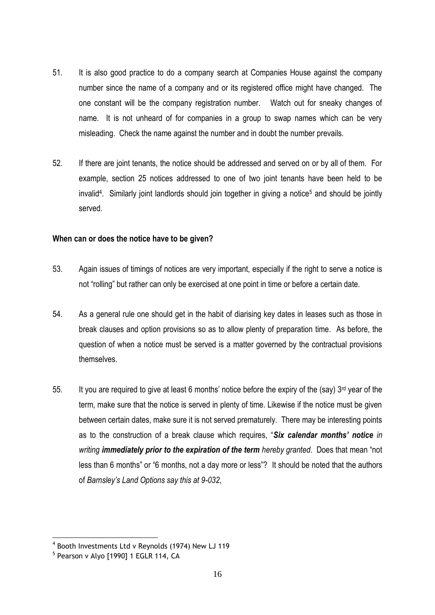- 51. It is also good practice to do a company search at Companies House against the company number since the name of a company and or its registered office might have changed. The one constant will be the company registration number. Watch out for sneaky changes of name. It is not unheard of for companies in a group to swap names which can be very misleading. Check the name against the number and in doubt the number prevails.
- 52. If there are joint tenants, the notice should be addressed and served on or by all of them. For example, section 25 notices addressed to one of two joint tenants have been held to be invalid<sup>4</sup>. Similarly joint landlords should join together in giving a notice<sup>5</sup> and should be jointly served.

# **When can or does the notice have to be given?**

- 53. Again issues of timings of notices are very important, especially if the right to serve a notice is not "rolling" but rather can only be exercised at one point in time or before a certain date.
- 54. As a general rule one should get in the habit of diarising key dates in leases such as those in break clauses and option provisions so as to allow plenty of preparation time. As before, the question of when a notice must be served is a matter governed by the contractual provisions themselves.
- 55. It you are required to give at least 6 months' notice before the expiry of the (say) 3<sup>rd</sup> year of the term, make sure that the notice is served in plenty of time. Likewise if the notice must be given between certain dates, make sure it is not served prematurely. There may be interesting points as to the construction of a break clause which requires, "*Six calendar months' notice in writing immediately prior to the expiration of the term hereby granted*. Does that mean "not less than 6 months" or "6 months, not a day more or less"?It should be noted that the authors of *Barnsley's Land Options say this at 9-032*,

<u>.</u>

<sup>4</sup> Booth Investments Ltd v Reynolds (1974) New LJ 119

<sup>&</sup>lt;sup>5</sup> Pearson v Alyo [1990] 1 EGLR 114, CA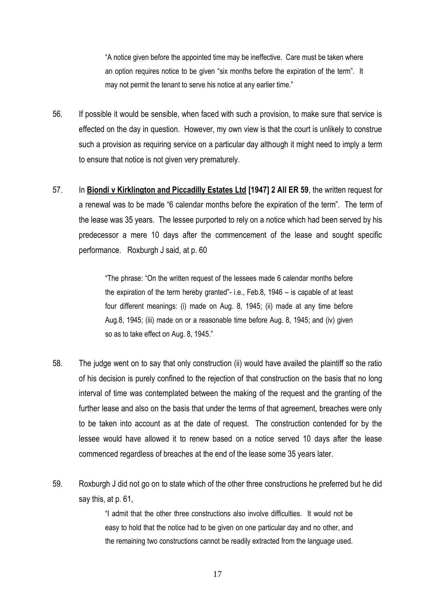"A notice given before the appointed time may be ineffective. Care must be taken where an option requires notice to be given "six months before the expiration of the term". It may not permit the tenant to serve his notice at any earlier time."

- 56. If possible it would be sensible, when faced with such a provision, to make sure that service is effected on the day in question. However, my own view is that the court is unlikely to construe such a provision as requiring service on a particular day although it might need to imply a term to ensure that notice is not given very prematurely.
- 57. In **Biondi v Kirklington and Piccadilly Estates Ltd [1947] 2 All ER 59**, the written request for a renewal was to be made "6 calendar months before the expiration of the term". The term of the lease was 35 years. The lessee purported to rely on a notice which had been served by his predecessor a mere 10 days after the commencement of the lease and sought specific performance. Roxburgh J said, at p. 60

"The phrase: "On the written request of the lessees made 6 calendar months before the expiration of the term hereby granted"- i.e., Feb.8, 1946 – is capable of at least four different meanings: (i) made on Aug. 8, 1945; (ii) made at any time before Aug.8, 1945; (iii) made on or a reasonable time before Aug. 8, 1945; and (iv) given so as to take effect on Aug. 8, 1945."

- 58. The judge went on to say that only construction (ii) would have availed the plaintiff so the ratio of his decision is purely confined to the rejection of that construction on the basis that no long interval of time was contemplated between the making of the request and the granting of the further lease and also on the basis that under the terms of that agreement, breaches were only to be taken into account as at the date of request. The construction contended for by the lessee would have allowed it to renew based on a notice served 10 days after the lease commenced regardless of breaches at the end of the lease some 35 years later.
- 59. Roxburgh J did not go on to state which of the other three constructions he preferred but he did say this, at p. 61,

"I admit that the other three constructions also involve difficulties. It would not be easy to hold that the notice had to be given on one particular day and no other, and the remaining two constructions cannot be readily extracted from the language used.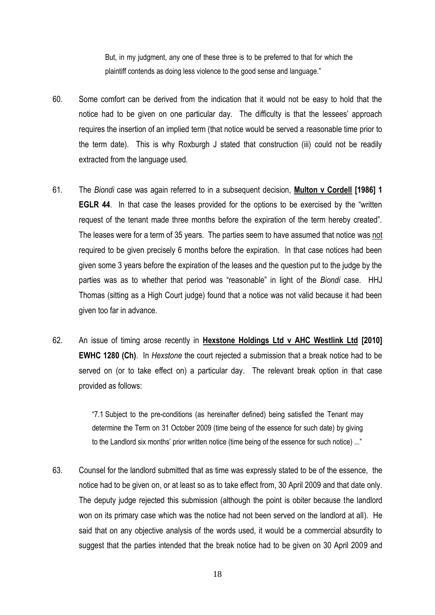But, in my judgment, any one of these three is to be preferred to that for which the plaintiff contends as doing less violence to the good sense and language."

- 60. Some comfort can be derived from the indication that it would not be easy to hold that the notice had to be given on one particular day. The difficulty is that the lessees' approach requires the insertion of an implied term (that notice would be served a reasonable time prior to the term date). This is why Roxburgh J stated that construction (iii) could not be readily extracted from the language used.
- 61. The *Biondi* case was again referred to in a subsequent decision, **Multon v Cordell [1986] 1 EGLR 44.** In that case the leases provided for the options to be exercised by the "written" request of the tenant made three months before the expiration of the term hereby created". The leases were for a term of 35 years. The parties seem to have assumed that notice was not required to be given precisely 6 months before the expiration. In that case notices had been given some 3 years before the expiration of the leases and the question put to the judge by the parties was as to whether that period was "reasonable" in light of the *Biondi* case. HHJ Thomas (sitting as a High Court judge) found that a notice was not valid because it had been given too far in advance.
- 62. An issue of timing arose recently in **Hexstone Holdings Ltd v AHC Westlink Ltd [2010] EWHC 1280 (Ch)**. In *Hexstone* the court rejected a submission that a break notice had to be served on (or to take effect on) a particular day. The relevant break option in that case provided as follows:

"7.1 Subject to the pre-conditions (as hereinafter defined) being satisfied the Tenant may determine the Term on 31 October 2009 (time being of the essence for such date) by giving to the Landlord six months' prior written notice (time being of the essence for such notice) ..."

63. Counsel for the landlord submitted that as time was expressly stated to be of the essence, the notice had to be given on, or at least so as to take effect from, 30 April 2009 and that date only. The deputy judge rejected this submission (although the point is obiter because the landlord won on its primary case which was the notice had not been served on the landlord at all). He said that on any objective analysis of the words used, it would be a commercial absurdity to suggest that the parties intended that the break notice had to be given on 30 April 2009 and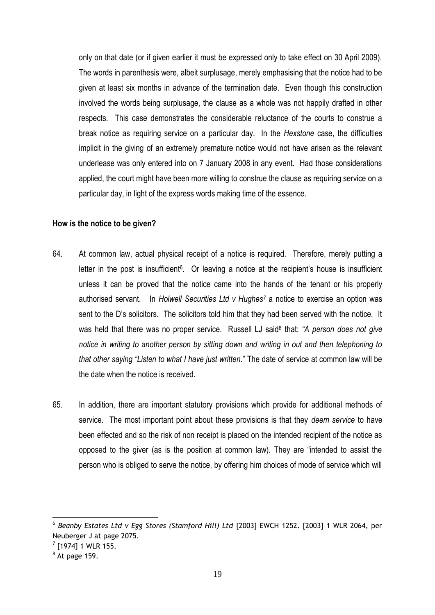only on that date (or if given earlier it must be expressed only to take effect on 30 April 2009). The words in parenthesis were, albeit surplusage, merely emphasising that the notice had to be given at least six months in advance of the termination date. Even though this construction involved the words being surplusage, the clause as a whole was not happily drafted in other respects. This case demonstrates the considerable reluctance of the courts to construe a break notice as requiring service on a particular day. In the *Hexstone* case, the difficulties implicit in the giving of an extremely premature notice would not have arisen as the relevant underlease was only entered into on 7 January 2008 in any event. Had those considerations applied, the court might have been more willing to construe the clause as requiring service on a particular day, in light of the express words making time of the essence.

#### **How is the notice to be given?**

- 64. At common law, actual physical receipt of a notice is required. Therefore, merely putting a letter in the post is insufficient<sup>6</sup>. Or leaving a notice at the recipient's house is insufficient unless it can be proved that the notice came into the hands of the tenant or his properly authorised servant. In *Holwell Securities Ltd v Hughes<sup>7</sup>* a notice to exercise an option was sent to the D's solicitors. The solicitors told him that they had been served with the notice. It was held that there was no proper service. Russell LJ said<sup>8</sup> that: "A person does not give *notice in writing to another person by sitting down and writing in out and then telephoning to that other saying "Listen to what I have just written*." The date of service at common law will be the date when the notice is received.
- 65. In addition, there are important statutory provisions which provide for additional methods of service. The most important point about these provisions is that they *deem service* to have been effected and so the risk of non receipt is placed on the intended recipient of the notice as opposed to the giver (as is the position at common law). They are "intended to assist the person who is obliged to serve the notice, by offering him choices of mode of service which will

 6 *Beanby Estates Ltd v Egg Stores (Stamford Hill) Ltd* [2003] EWCH 1252. [2003] 1 WLR 2064, per Neuberger J at page 2075.

 $<sup>7</sup>$  [1974] 1 WLR 155.</sup>

 $8$  At page 159.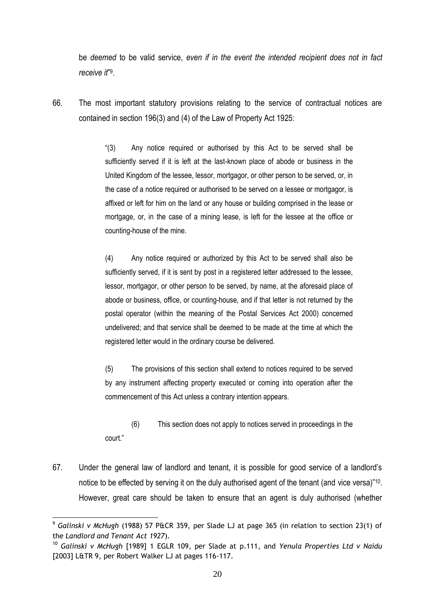be *deemed* to be valid service, *even if in the event the intended recipient does not in fact receive it*" 9 .

66. The most important statutory provisions relating to the service of contractual notices are contained in section 196(3) and (4) of the Law of Property Act 1925:

> "(3) Any notice required or authorised by this Act to be served shall be sufficiently served if it is left at the last-known place of abode or business in the United Kingdom of the lessee, lessor, mortgagor, or other person to be served, or, in the case of a notice required or authorised to be served on a lessee or mortgagor, is affixed or left for him on the land or any house or building comprised in the lease or mortgage, or, in the case of a mining lease, is left for the lessee at the office or counting-house of the mine.

> (4) Any notice required or authorized by this Act to be served shall also be sufficiently served, if it is sent by post in a registered letter addressed to the lessee, lessor, mortgagor, or other person to be served, by name, at the aforesaid place of abode or business, office, or counting-house, and if that letter is not returned by the postal operator (within the meaning of the Postal Services Act 2000) concerned undelivered; and that service shall be deemed to be made at the time at which the registered letter would in the ordinary course be delivered.

> (5) The provisions of this section shall extend to notices required to be served by any instrument affecting property executed or coming into operation after the commencement of this Act unless a contrary intention appears.

- (6) This section does not apply to notices served in proceedings in the court."
- 67. Under the general law of landlord and tenant, it is possible for good service of a landlord's notice to be effected by serving it on the duly authorised agent of the tenant (and vice versa)"<sup>10</sup>. However, great care should be taken to ensure that an agent is duly authorised (whether

1

<sup>9</sup> *Galinski v McHugh* (1988) 57 P&CR 359, per Slade LJ at page 365 (in relation to section 23(1) of the *Landlord and Tenant Act 1927*).

<sup>10</sup> *Galinski v McHugh* [1989] 1 EGLR 109, per Slade at p.111, and *Yenula Properties Ltd v Naidu* [2003] L&TR 9, per Robert Walker LJ at pages 116-117.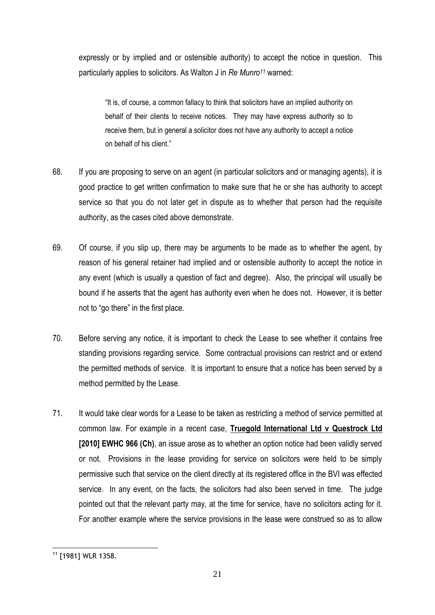expressly or by implied and or ostensible authority) to accept the notice in question. This particularly applies to solicitors. As Walton J in *Re Munro<sup>11</sup>* warned:

"It is, of course, a common fallacy to think that solicitors have an implied authority on behalf of their clients to receive notices. They may have express authority so to receive them, but in general a solicitor does not have any authority to accept a notice on behalf of his client."

- 68. If you are proposing to serve on an agent (in particular solicitors and or managing agents), it is good practice to get written confirmation to make sure that he or she has authority to accept service so that you do not later get in dispute as to whether that person had the requisite authority, as the cases cited above demonstrate.
- 69. Of course, if you slip up, there may be arguments to be made as to whether the agent, by reason of his general retainer had implied and or ostensible authority to accept the notice in any event (which is usually a question of fact and degree). Also, the principal will usually be bound if he asserts that the agent has authority even when he does not. However, it is better not to "go there" in the first place.
- 70. Before serving any notice, it is important to check the Lease to see whether it contains free standing provisions regarding service. Some contractual provisions can restrict and or extend the permitted methods of service. It is important to ensure that a notice has been served by a method permitted by the Lease.
- 71. It would take clear words for a Lease to be taken as restricting a method of service permitted at common law. For example in a recent case, **Truegold International Ltd v Questrock Ltd [2010] EWHC 966 (Ch)**, an issue arose as to whether an option notice had been validly served or not. Provisions in the lease providing for service on solicitors were held to be simply permissive such that service on the client directly at its registered office in the BVI was effected service. In any event, on the facts, the solicitors had also been served in time. The judge pointed out that the relevant party may, at the time for service, have no solicitors acting for it. For another example where the service provisions in the lease were construed so as to allow

<sup>1</sup> <sup>11</sup> [1981] WLR 1358.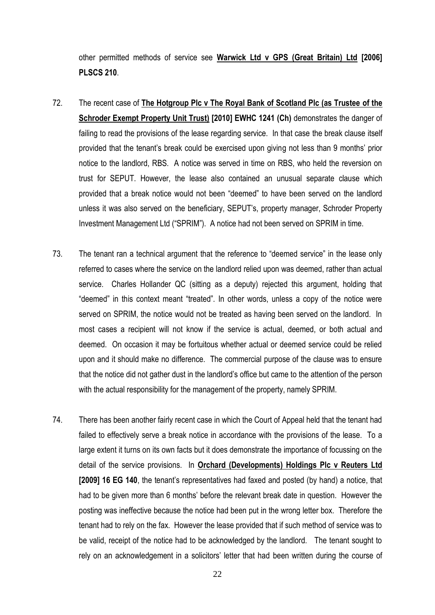other permitted methods of service see **Warwick Ltd v GPS (Great Britain) Ltd [2006] PLSCS 210**.

- 72. The recent case of **The Hotgroup Plc v The Royal Bank of Scotland Plc (as Trustee of the Schroder Exempt Property Unit Trust) [2010] EWHC 1241 (Ch)** demonstrates the danger of failing to read the provisions of the lease regarding service. In that case the break clause itself provided that the tenant's break could be exercised upon giving not less than 9 months' prior notice to the landlord, RBS. A notice was served in time on RBS, who held the reversion on trust for SEPUT. However, the lease also contained an unusual separate clause which provided that a break notice would not been "deemed" to have been served on the landlord unless it was also served on the beneficiary, SEPUT's, property manager, Schroder Property Investment Management Ltd ("SPRIM"). A notice had not been served on SPRIM in time.
- 73. The tenant ran a technical argument that the reference to "deemed service" in the lease only referred to cases where the service on the landlord relied upon was deemed, rather than actual service. Charles Hollander QC (sitting as a deputy) rejected this argument, holding that "deemed" in this context meant "treated". In other words, unless a copy of the notice were served on SPRIM, the notice would not be treated as having been served on the landlord. In most cases a recipient will not know if the service is actual, deemed, or both actual and deemed. On occasion it may be fortuitous whether actual or deemed service could be relied upon and it should make no difference. The commercial purpose of the clause was to ensure that the notice did not gather dust in the landlord's office but came to the attention of the person with the actual responsibility for the management of the property, namely SPRIM.
- 74. There has been another fairly recent case in which the Court of Appeal held that the tenant had failed to effectively serve a break notice in accordance with the provisions of the lease. To a large extent it turns on its own facts but it does demonstrate the importance of focussing on the detail of the service provisions. In **Orchard (Developments) Holdings Plc v Reuters Ltd [2009] 16 EG 140**, the tenant's representatives had faxed and posted (by hand) a notice, that had to be given more than 6 months' before the relevant break date in question. However the posting was ineffective because the notice had been put in the wrong letter box. Therefore the tenant had to rely on the fax. However the lease provided that if such method of service was to be valid, receipt of the notice had to be acknowledged by the landlord. The tenant sought to rely on an acknowledgement in a solicitors' letter that had been written during the course of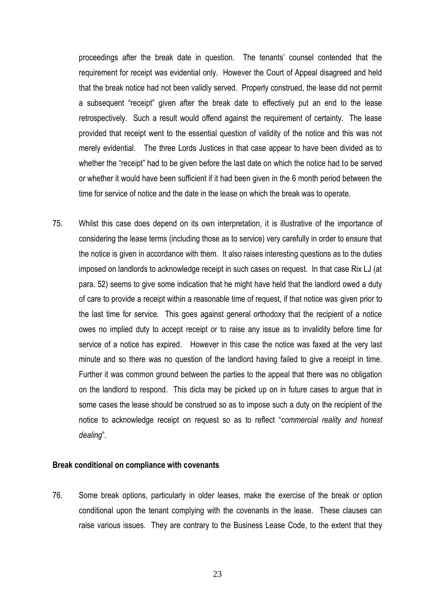proceedings after the break date in question. The tenants' counsel contended that the requirement for receipt was evidential only. However the Court of Appeal disagreed and held that the break notice had not been validly served. Properly construed, the lease did not permit a subsequent "receipt" given after the break date to effectively put an end to the lease retrospectively. Such a result would offend against the requirement of certainty. The lease provided that receipt went to the essential question of validity of the notice and this was not merely evidential. The three Lords Justices in that case appear to have been divided as to whether the "receipt" had to be given before the last date on which the notice had to be served or whether it would have been sufficient if it had been given in the 6 month period between the time for service of notice and the date in the lease on which the break was to operate.

75. Whilst this case does depend on its own interpretation, it is illustrative of the importance of considering the lease terms (including those as to service) very carefully in order to ensure that the notice is given in accordance with them. It also raises interesting questions as to the duties imposed on landlords to acknowledge receipt in such cases on request. In that case Rix LJ (at para. 52) seems to give some indication that he might have held that the landlord owed a duty of care to provide a receipt within a reasonable time of request, if that notice was given prior to the last time for service. This goes against general orthodoxy that the recipient of a notice owes no implied duty to accept receipt or to raise any issue as to invalidity before time for service of a notice has expired. However in this case the notice was faxed at the very last minute and so there was no question of the landlord having failed to give a receipt in time. Further it was common ground between the parties to the appeal that there was no obligation on the landlord to respond. This dicta may be picked up on in future cases to argue that in some cases the lease should be construed so as to impose such a duty on the recipient of the notice to acknowledge receipt on request so as to reflect "*commercial reality and honest dealing*".

#### **Break conditional on compliance with covenants**

76. Some break options, particularly in older leases, make the exercise of the break or option conditional upon the tenant complying with the covenants in the lease. These clauses can raise various issues. They are contrary to the Business Lease Code, to the extent that they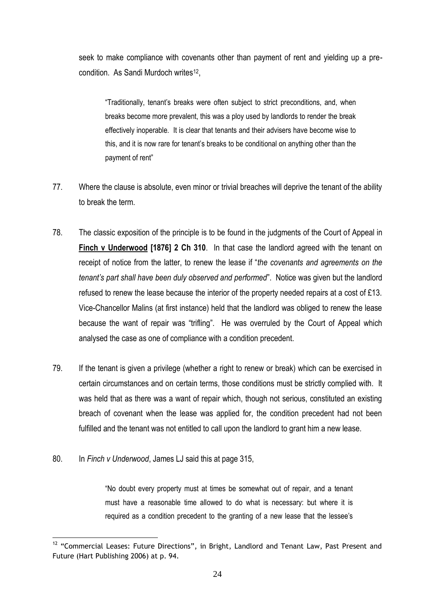seek to make compliance with covenants other than payment of rent and yielding up a precondition. As Sandi Murdoch writes<sup>12</sup>,

"Traditionally, tenant's breaks were often subject to strict preconditions, and, when breaks become more prevalent, this was a ploy used by landlords to render the break effectively inoperable. It is clear that tenants and their advisers have become wise to this, and it is now rare for tenant's breaks to be conditional on anything other than the payment of rent"

- 77. Where the clause is absolute, even minor or trivial breaches will deprive the tenant of the ability to break the term.
- 78. The classic exposition of the principle is to be found in the judgments of the Court of Appeal in **Finch v Underwood [1876] 2 Ch 310**. In that case the landlord agreed with the tenant on receipt of notice from the latter, to renew the lease if "*the covenants and agreements on the tenant's part shall have been duly observed and performed*". Notice was given but the landlord refused to renew the lease because the interior of the property needed repairs at a cost of £13. Vice-Chancellor Malins (at first instance) held that the landlord was obliged to renew the lease because the want of repair was "trifling". He was overruled by the Court of Appeal which analysed the case as one of compliance with a condition precedent.
- 79. If the tenant is given a privilege (whether a right to renew or break) which can be exercised in certain circumstances and on certain terms, those conditions must be strictly complied with. It was held that as there was a want of repair which, though not serious, constituted an existing breach of covenant when the lease was applied for, the condition precedent had not been fulfilled and the tenant was not entitled to call upon the landlord to grant him a new lease.
- 80. In *Finch v Underwood*, James LJ said this at page 315,

<u>.</u>

"No doubt every property must at times be somewhat out of repair, and a tenant must have a reasonable time allowed to do what is necessary: but where it is required as a condition precedent to the granting of a new lease that the lessee's

 $12$  "Commercial Leases: Future Directions", in Bright, Landlord and Tenant Law, Past Present and Future (Hart Publishing 2006) at p. 94.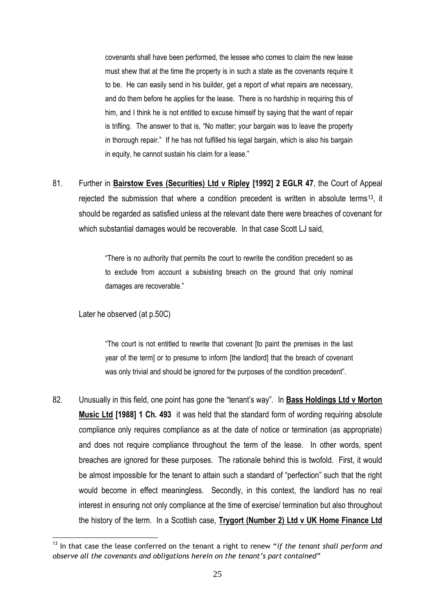covenants shall have been performed, the lessee who comes to claim the new lease must shew that at the time the property is in such a state as the covenants require it to be. He can easily send in his builder, get a report of what repairs are necessary, and do them before he applies for the lease. There is no hardship in requiring this of him, and I think he is not entitled to excuse himself by saying that the want of repair is trifling. The answer to that is, "No matter; your bargain was to leave the property in thorough repair." If he has not fulfilled his legal bargain, which is also his bargain in equity, he cannot sustain his claim for a lease."

81. Further in **Bairstow Eves (Securities) Ltd v Ripley [1992] 2 EGLR 47**, the Court of Appeal rejected the submission that where a condition precedent is written in absolute terms13, it should be regarded as satisfied unless at the relevant date there were breaches of covenant for which substantial damages would be recoverable. In that case Scott LJ said,

> "There is no authority that permits the court to rewrite the condition precedent so as to exclude from account a subsisting breach on the ground that only nominal damages are recoverable."

## Later he observed (at p.50C)

"The court is not entitled to rewrite that covenant [to paint the premises in the last year of the term] or to presume to inform [the landlord] that the breach of covenant was only trivial and should be ignored for the purposes of the condition precedent".

82. Unusually in this field, one point has gone the "tenant's way". In **Bass Holdings Ltd v Morton Music Ltd [1988] 1 Ch. 493** it was held that the standard form of wording requiring absolute compliance only requires compliance as at the date of notice or termination (as appropriate) and does not require compliance throughout the term of the lease. In other words, spent breaches are ignored for these purposes. The rationale behind this is twofold. First, it would be almost impossible for the tenant to attain such a standard of "perfection" such that the right would become in effect meaningless. Secondly, in this context, the landlord has no real interest in ensuring not only compliance at the time of exercise/ termination but also throughout the history of the term. In a Scottish case, **Trygort (Number 2) Ltd v UK Home Finance Ltd**

<sup>&</sup>lt;u>.</u> <sup>13</sup> In that case the lease conferred on the tenant a right to renew "*if the tenant shall perform and observe all the covenants and obligations herein on the tenant's part contained*"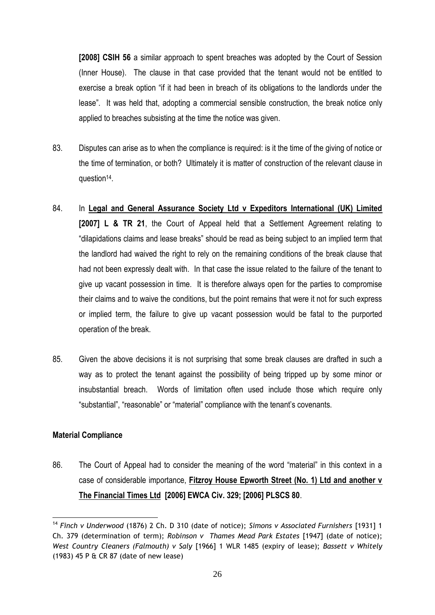**[2008] CSIH 56** a similar approach to spent breaches was adopted by the Court of Session (Inner House). The clause in that case provided that the tenant would not be entitled to exercise a break option "if it had been in breach of its obligations to the landlords under the lease". It was held that, adopting a commercial sensible construction, the break notice only applied to breaches subsisting at the time the notice was given.

- 83. Disputes can arise as to when the compliance is required: is it the time of the giving of notice or the time of termination, or both? Ultimately it is matter of construction of the relevant clause in question<sup>14</sup>.
- 84. In **Legal and General Assurance Society Ltd v Expeditors International (UK) Limited [2007] L & TR 21**, the Court of Appeal held that a Settlement Agreement relating to "dilapidations claims and lease breaks" should be read as being subject to an implied term that the landlord had waived the right to rely on the remaining conditions of the break clause that had not been expressly dealt with. In that case the issue related to the failure of the tenant to give up vacant possession in time. It is therefore always open for the parties to compromise their claims and to waive the conditions, but the point remains that were it not for such express or implied term, the failure to give up vacant possession would be fatal to the purported operation of the break.
- 85. Given the above decisions it is not surprising that some break clauses are drafted in such a way as to protect the tenant against the possibility of being tripped up by some minor or insubstantial breach. Words of limitation often used include those which require only "substantial", "reasonable" or "material" compliance with the tenant's covenants.

# **Material Compliance**

86. The Court of Appeal had to consider the meaning of the word "material" in this context in a case of considerable importance, **Fitzroy House Epworth Street (No. 1) Ltd and another v The Financial Times Ltd [2006] EWCA Civ. 329; [2006] PLSCS 80**.

<sup>1</sup> <sup>14</sup> *Finch v Underwood* (1876) 2 Ch. D 310 (date of notice); *Simons v Associated Furnishers* [1931] 1 Ch. 379 (determination of term); *Robinson v Thames Mead Park Estates* [1947] (date of notice); *West Country Cleaners (Falmouth) v Saly* [1966] 1 WLR 1485 (expiry of lease); *Bassett v Whitely* (1983) 45 P & CR 87 (date of new lease)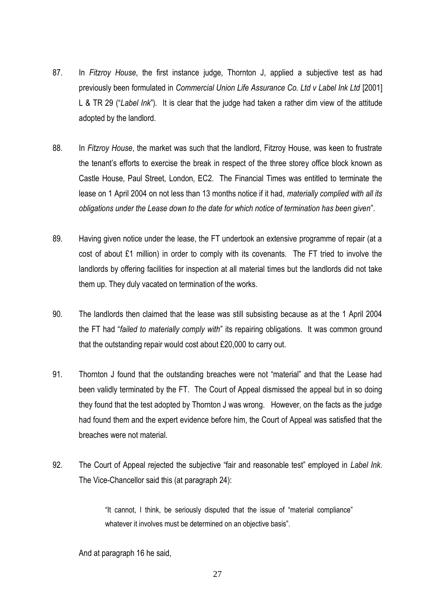- 87. In *Fitzroy House*, the first instance judge, Thornton J, applied a subjective test as had previously been formulated in *Commercial Union Life Assurance Co. Ltd v Label Ink Ltd* [2001] L & TR 29 ("*Label Ink*")*.* It is clear that the judge had taken a rather dim view of the attitude adopted by the landlord.
- 88. In *Fitzroy House*, the market was such that the landlord, Fitzroy House, was keen to frustrate the tenant's efforts to exercise the break in respect of the three storey office block known as Castle House, Paul Street, London, EC2. The Financial Times was entitled to terminate the lease on 1 April 2004 on not less than 13 months notice if it had, *materially complied with all its obligations under the Lease down to the date for which notice of termination has been given*".
- 89. Having given notice under the lease, the FT undertook an extensive programme of repair (at a cost of about £1 million) in order to comply with its covenants. The FT tried to involve the landlords by offering facilities for inspection at all material times but the landlords did not take them up. They duly vacated on termination of the works.
- 90. The landlords then claimed that the lease was still subsisting because as at the 1 April 2004 the FT had "*failed to materially comply with*" its repairing obligations. It was common ground that the outstanding repair would cost about £20,000 to carry out.
- 91. Thornton J found that the outstanding breaches were not "material" and that the Lease had been validly terminated by the FT. The Court of Appeal dismissed the appeal but in so doing they found that the test adopted by Thornton J was wrong. However, on the facts as the judge had found them and the expert evidence before him, the Court of Appeal was satisfied that the breaches were not material.
- 92. The Court of Appeal rejected the subjective "fair and reasonable test" employed in *Label Ink*. The Vice-Chancellor said this (at paragraph 24):

"It cannot, I think, be seriously disputed that the issue of "material compliance" whatever it involves must be determined on an objective basis".

And at paragraph 16 he said,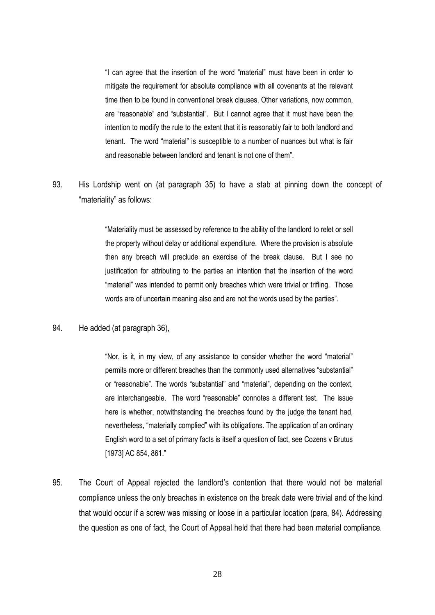"I can agree that the insertion of the word "material" must have been in order to mitigate the requirement for absolute compliance with all covenants at the relevant time then to be found in conventional break clauses. Other variations, now common, are "reasonable" and "substantial". But I cannot agree that it must have been the intention to modify the rule to the extent that it is reasonably fair to both landlord and tenant. The word "material" is susceptible to a number of nuances but what is fair and reasonable between landlord and tenant is not one of them".

93. His Lordship went on (at paragraph 35) to have a stab at pinning down the concept of "materiality" as follows:

> "Materiality must be assessed by reference to the ability of the landlord to relet or sell the property without delay or additional expenditure. Where the provision is absolute then any breach will preclude an exercise of the break clause. But I see no justification for attributing to the parties an intention that the insertion of the word "material" was intended to permit only breaches which were trivial or trifling. Those words are of uncertain meaning also and are not the words used by the parties".

94. He added (at paragraph 36),

"Nor, is it, in my view, of any assistance to consider whether the word "material" permits more or different breaches than the commonly used alternatives "substantial" or "reasonable". The words "substantial" and "material", depending on the context, are interchangeable. The word "reasonable" connotes a different test. The issue here is whether, notwithstanding the breaches found by the judge the tenant had, nevertheless, "materially complied" with its obligations. The application of an ordinary English word to a set of primary facts is itself a question of fact, see Cozens v Brutus [1973] AC 854, 861."

95. The Court of Appeal rejected the landlord's contention that there would not be material compliance unless the only breaches in existence on the break date were trivial and of the kind that would occur if a screw was missing or loose in a particular location (para, 84). Addressing the question as one of fact, the Court of Appeal held that there had been material compliance.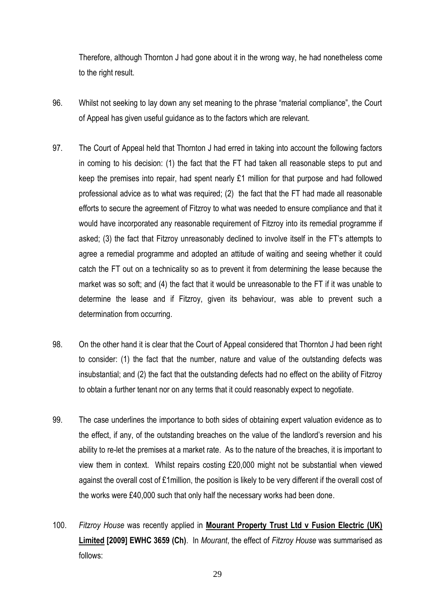Therefore, although Thornton J had gone about it in the wrong way, he had nonetheless come to the right result.

- 96. Whilst not seeking to lay down any set meaning to the phrase "material compliance", the Court of Appeal has given useful guidance as to the factors which are relevant.
- 97. The Court of Appeal held that Thornton J had erred in taking into account the following factors in coming to his decision: (1) the fact that the FT had taken all reasonable steps to put and keep the premises into repair, had spent nearly £1 million for that purpose and had followed professional advice as to what was required; (2) the fact that the FT had made all reasonable efforts to secure the agreement of Fitzroy to what was needed to ensure compliance and that it would have incorporated any reasonable requirement of Fitzroy into its remedial programme if asked; (3) the fact that Fitzroy unreasonably declined to involve itself in the FT's attempts to agree a remedial programme and adopted an attitude of waiting and seeing whether it could catch the FT out on a technicality so as to prevent it from determining the lease because the market was so soft; and (4) the fact that it would be unreasonable to the FT if it was unable to determine the lease and if Fitzroy, given its behaviour, was able to prevent such a determination from occurring.
- 98. On the other hand it is clear that the Court of Appeal considered that Thornton J had been right to consider: (1) the fact that the number, nature and value of the outstanding defects was insubstantial; and (2) the fact that the outstanding defects had no effect on the ability of Fitzroy to obtain a further tenant nor on any terms that it could reasonably expect to negotiate.
- 99. The case underlines the importance to both sides of obtaining expert valuation evidence as to the effect, if any, of the outstanding breaches on the value of the landlord's reversion and his ability to re-let the premises at a market rate. As to the nature of the breaches, it is important to view them in context. Whilst repairs costing £20,000 might not be substantial when viewed against the overall cost of £1million, the position is likely to be very different if the overall cost of the works were £40,000 such that only half the necessary works had been done.
- 100. *Fitzroy House* was recently applied in **Mourant Property Trust Ltd v Fusion Electric (UK) Limited [2009] EWHC 3659 (Ch)**. In *Mourant*, the effect of *Fitzroy House* was summarised as follows: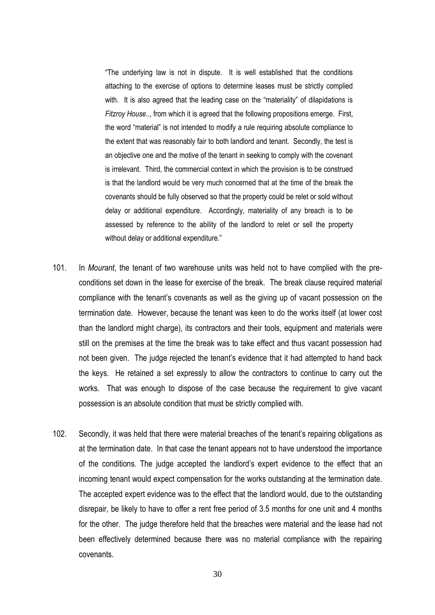"The underlying law is not in dispute. It is well established that the conditions attaching to the exercise of options to determine leases must be strictly complied with. It is also agreed that the leading case on the "materiality" of dilapidations is *Fitzroy House*.., from which it is agreed that the following propositions emerge. First, the word "material" is not intended to modify a rule requiring absolute compliance to the extent that was reasonably fair to both landlord and tenant. Secondly, the test is an objective one and the motive of the tenant in seeking to comply with the covenant is irrelevant. Third, the commercial context in which the provision is to be construed is that the landlord would be very much concerned that at the time of the break the covenants should be fully observed so that the property could be relet or sold without delay or additional expenditure. Accordingly, materiality of any breach is to be assessed by reference to the ability of the landlord to relet or sell the property without delay or additional expenditure."

- 101. In *Mourant*, the tenant of two warehouse units was held not to have complied with the preconditions set down in the lease for exercise of the break. The break clause required material compliance with the tenant's covenants as well as the giving up of vacant possession on the termination date. However, because the tenant was keen to do the works itself (at lower cost than the landlord might charge), its contractors and their tools, equipment and materials were still on the premises at the time the break was to take effect and thus vacant possession had not been given. The judge rejected the tenant's evidence that it had attempted to hand back the keys. He retained a set expressly to allow the contractors to continue to carry out the works. That was enough to dispose of the case because the requirement to give vacant possession is an absolute condition that must be strictly complied with.
- 102. Secondly, it was held that there were material breaches of the tenant's repairing obligations as at the termination date. In that case the tenant appears not to have understood the importance of the conditions. The judge accepted the landlord's expert evidence to the effect that an incoming tenant would expect compensation for the works outstanding at the termination date. The accepted expert evidence was to the effect that the landlord would, due to the outstanding disrepair, be likely to have to offer a rent free period of 3.5 months for one unit and 4 months for the other. The judge therefore held that the breaches were material and the lease had not been effectively determined because there was no material compliance with the repairing covenants.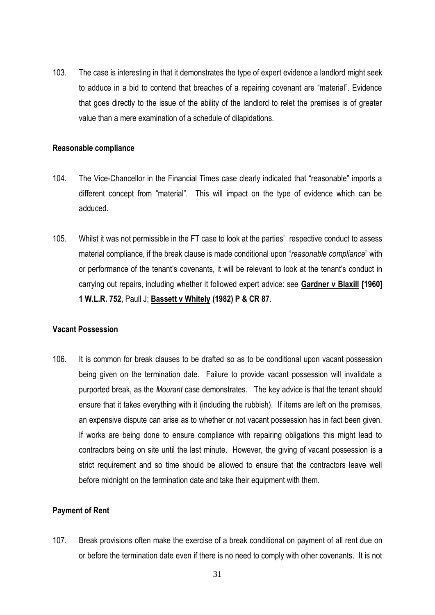103. The case is interesting in that it demonstrates the type of expert evidence a landlord might seek to adduce in a bid to contend that breaches of a repairing covenant are "material". Evidence that goes directly to the issue of the ability of the landlord to relet the premises is of greater value than a mere examination of a schedule of dilapidations.

#### **Reasonable compliance**

- 104. The Vice-Chancellor in the Financial Times case clearly indicated that "reasonable" imports a different concept from "material". This will impact on the type of evidence which can be adduced.
- 105. Whilst it was not permissible in the FT case to look at the parties' respective conduct to assess material compliance, if the break clause is made conditional upon "*reasonable compliance*" with or performance of the tenant's covenants, it will be relevant to look at the tenant's conduct in carrying out repairs, including whether it followed expert advice: see **Gardner v Blaxill [1960] 1 W.L.R. 752**, Paull J; **Bassett v Whitely (1982) P & CR 87**.

#### **Vacant Possession**

106. It is common for break clauses to be drafted so as to be conditional upon vacant possession being given on the termination date. Failure to provide vacant possession will invalidate a purported break, as the *Mourant* case demonstrates. The key advice is that the tenant should ensure that it takes everything with it (including the rubbish). If items are left on the premises, an expensive dispute can arise as to whether or not vacant possession has in fact been given. If works are being done to ensure compliance with repairing obligations this might lead to contractors being on site until the last minute. However, the giving of vacant possession is a strict requirement and so time should be allowed to ensure that the contractors leave well before midnight on the termination date and take their equipment with them.

#### **Payment of Rent**

107. Break provisions often make the exercise of a break conditional on payment of all rent due on or before the termination date even if there is no need to comply with other covenants. It is not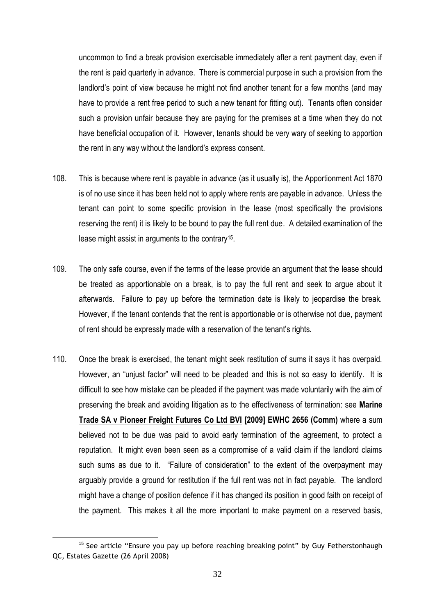uncommon to find a break provision exercisable immediately after a rent payment day, even if the rent is paid quarterly in advance. There is commercial purpose in such a provision from the landlord's point of view because he might not find another tenant for a few months (and may have to provide a rent free period to such a new tenant for fitting out). Tenants often consider such a provision unfair because they are paying for the premises at a time when they do not have beneficial occupation of it. However, tenants should be very wary of seeking to apportion the rent in any way without the landlord's express consent.

- 108. This is because where rent is payable in advance (as it usually is), the Apportionment Act 1870 is of no use since it has been held not to apply where rents are payable in advance. Unless the tenant can point to some specific provision in the lease (most specifically the provisions reserving the rent) it is likely to be bound to pay the full rent due. A detailed examination of the lease might assist in arguments to the contrary<sup>15</sup>.
- 109. The only safe course, even if the terms of the lease provide an argument that the lease should be treated as apportionable on a break, is to pay the full rent and seek to argue about it afterwards. Failure to pay up before the termination date is likely to jeopardise the break. However, if the tenant contends that the rent is apportionable or is otherwise not due, payment of rent should be expressly made with a reservation of the tenant's rights.
- 110. Once the break is exercised, the tenant might seek restitution of sums it says it has overpaid. However, an "unjust factor" will need to be pleaded and this is not so easy to identify. It is difficult to see how mistake can be pleaded if the payment was made voluntarily with the aim of preserving the break and avoiding litigation as to the effectiveness of termination: see **Marine Trade SA v Pioneer Freight Futures Co Ltd BVI [2009] EWHC 2656 (Comm)** where a sum believed not to be due was paid to avoid early termination of the agreement, to protect a reputation. It might even been seen as a compromise of a valid claim if the landlord claims such sums as due to it. "Failure of consideration" to the extent of the overpayment may arguably provide a ground for restitution if the full rent was not in fact payable. The landlord might have a change of position defence if it has changed its position in good faith on receipt of the payment. This makes it all the more important to make payment on a reserved basis,

<sup>&</sup>lt;u>.</u> <sup>15</sup> See article "Ensure you pay up before reaching breaking point" by Guy Fetherstonhaugh QC, Estates Gazette (26 April 2008)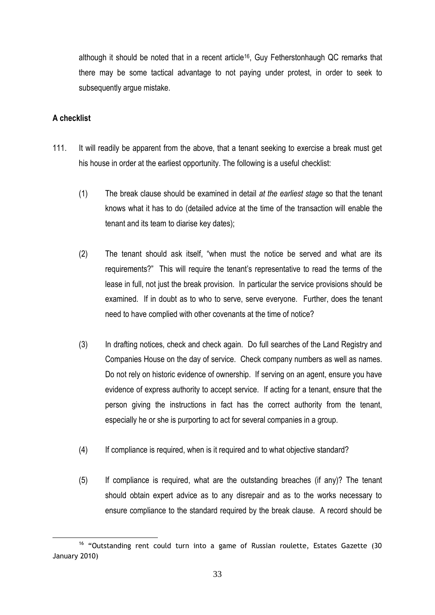although it should be noted that in a recent article16, Guy Fetherstonhaugh QC remarks that there may be some tactical advantage to not paying under protest, in order to seek to subsequently argue mistake.

# **A checklist**

- 111. It will readily be apparent from the above, that a tenant seeking to exercise a break must get his house in order at the earliest opportunity. The following is a useful checklist:
	- (1) The break clause should be examined in detail *at the earliest stage* so that the tenant knows what it has to do (detailed advice at the time of the transaction will enable the tenant and its team to diarise key dates);
	- (2) The tenant should ask itself, "when must the notice be served and what are its requirements?" This will require the tenant's representative to read the terms of the lease in full, not just the break provision. In particular the service provisions should be examined. If in doubt as to who to serve, serve everyone. Further, does the tenant need to have complied with other covenants at the time of notice?
	- (3) In drafting notices, check and check again. Do full searches of the Land Registry and Companies House on the day of service. Check company numbers as well as names. Do not rely on historic evidence of ownership. If serving on an agent, ensure you have evidence of express authority to accept service. If acting for a tenant, ensure that the person giving the instructions in fact has the correct authority from the tenant, especially he or she is purporting to act for several companies in a group.
	- (4) If compliance is required, when is it required and to what objective standard?
	- (5) If compliance is required, what are the outstanding breaches (if any)? The tenant should obtain expert advice as to any disrepair and as to the works necessary to ensure compliance to the standard required by the break clause. A record should be

<sup>&</sup>lt;u>.</u> <sup>16</sup> "Outstanding rent could turn into a game of Russian roulette, Estates Gazette (30 January 2010)